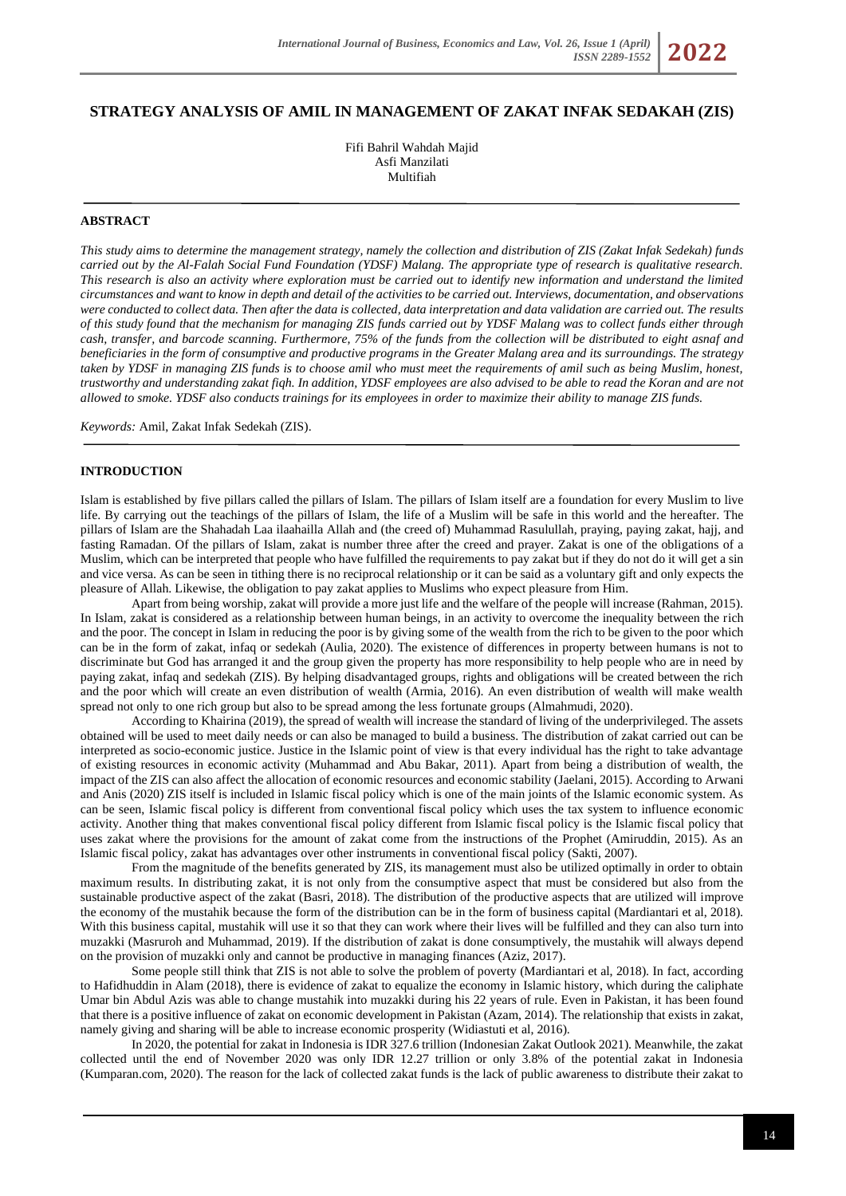# **STRATEGY ANALYSIS OF AMIL IN MANAGEMENT OF ZAKAT INFAK SEDAKAH (ZIS)**

Fifi Bahril Wahdah Majid Asfi Manzilati Multifiah

#### **ABSTRACT**

*This study aims to determine the management strategy, namely the collection and distribution of ZIS (Zakat Infak Sedekah) funds carried out by the Al-Falah Social Fund Foundation (YDSF) Malang. The appropriate type of research is qualitative research. This research is also an activity where exploration must be carried out to identify new information and understand the limited circumstances and want to know in depth and detail of the activities to be carried out. Interviews, documentation, and observations were conducted to collect data. Then after the data is collected, data interpretation and data validation are carried out. The results of this study found that the mechanism for managing ZIS funds carried out by YDSF Malang was to collect funds either through cash, transfer, and barcode scanning. Furthermore, 75% of the funds from the collection will be distributed to eight asnaf and beneficiaries in the form of consumptive and productive programs in the Greater Malang area and its surroundings. The strategy taken by YDSF in managing ZIS funds is to choose amil who must meet the requirements of amil such as being Muslim, honest, trustworthy and understanding zakat fiqh. In addition, YDSF employees are also advised to be able to read the Koran and are not allowed to smoke. YDSF also conducts trainings for its employees in order to maximize their ability to manage ZIS funds.*

*Keywords:* Amil, Zakat Infak Sedekah (ZIS).

#### **INTRODUCTION**

Islam is established by five pillars called the pillars of Islam. The pillars of Islam itself are a foundation for every Muslim to live life. By carrying out the teachings of the pillars of Islam, the life of a Muslim will be safe in this world and the hereafter. The pillars of Islam are the Shahadah Laa ilaahailla Allah and (the creed of) Muhammad Rasulullah, praying, paying zakat, hajj, and fasting Ramadan. Of the pillars of Islam, zakat is number three after the creed and prayer. Zakat is one of the obligations of a Muslim, which can be interpreted that people who have fulfilled the requirements to pay zakat but if they do not do it will get a sin and vice versa. As can be seen in tithing there is no reciprocal relationship or it can be said as a voluntary gift and only expects the pleasure of Allah. Likewise, the obligation to pay zakat applies to Muslims who expect pleasure from Him.

Apart from being worship, zakat will provide a more just life and the welfare of the people will increase (Rahman, 2015). In Islam, zakat is considered as a relationship between human beings, in an activity to overcome the inequality between the rich and the poor. The concept in Islam in reducing the poor is by giving some of the wealth from the rich to be given to the poor which can be in the form of zakat, infaq or sedekah (Aulia, 2020). The existence of differences in property between humans is not to discriminate but God has arranged it and the group given the property has more responsibility to help people who are in need by paying zakat, infaq and sedekah (ZIS). By helping disadvantaged groups, rights and obligations will be created between the rich and the poor which will create an even distribution of wealth (Armia, 2016). An even distribution of wealth will make wealth spread not only to one rich group but also to be spread among the less fortunate groups (Almahmudi, 2020).

According to Khairina (2019), the spread of wealth will increase the standard of living of the underprivileged. The assets obtained will be used to meet daily needs or can also be managed to build a business. The distribution of zakat carried out can be interpreted as socio-economic justice. Justice in the Islamic point of view is that every individual has the right to take advantage of existing resources in economic activity (Muhammad and Abu Bakar, 2011). Apart from being a distribution of wealth, the impact of the ZIS can also affect the allocation of economic resources and economic stability (Jaelani, 2015). According to Arwani and Anis (2020) ZIS itself is included in Islamic fiscal policy which is one of the main joints of the Islamic economic system. As can be seen, Islamic fiscal policy is different from conventional fiscal policy which uses the tax system to influence economic activity. Another thing that makes conventional fiscal policy different from Islamic fiscal policy is the Islamic fiscal policy that uses zakat where the provisions for the amount of zakat come from the instructions of the Prophet (Amiruddin, 2015). As an Islamic fiscal policy, zakat has advantages over other instruments in conventional fiscal policy (Sakti, 2007).

From the magnitude of the benefits generated by ZIS, its management must also be utilized optimally in order to obtain maximum results. In distributing zakat, it is not only from the consumptive aspect that must be considered but also from the sustainable productive aspect of the zakat (Basri, 2018). The distribution of the productive aspects that are utilized will improve the economy of the mustahik because the form of the distribution can be in the form of business capital (Mardiantari et al, 2018). With this business capital, mustahik will use it so that they can work where their lives will be fulfilled and they can also turn into muzakki (Masruroh and Muhammad, 2019). If the distribution of zakat is done consumptively, the mustahik will always depend on the provision of muzakki only and cannot be productive in managing finances (Aziz, 2017).

Some people still think that ZIS is not able to solve the problem of poverty (Mardiantari et al, 2018). In fact, according to Hafidhuddin in Alam (2018), there is evidence of zakat to equalize the economy in Islamic history, which during the caliphate Umar bin Abdul Azis was able to change mustahik into muzakki during his 22 years of rule. Even in Pakistan, it has been found that there is a positive influence of zakat on economic development in Pakistan (Azam, 2014). The relationship that exists in zakat, namely giving and sharing will be able to increase economic prosperity (Widiastuti et al, 2016).

In 2020, the potential for zakat in Indonesia is IDR 327.6 trillion (Indonesian Zakat Outlook 2021). Meanwhile, the zakat collected until the end of November 2020 was only IDR 12.27 trillion or only 3.8% of the potential zakat in Indonesia (Kumparan.com, 2020). The reason for the lack of collected zakat funds is the lack of public awareness to distribute their zakat to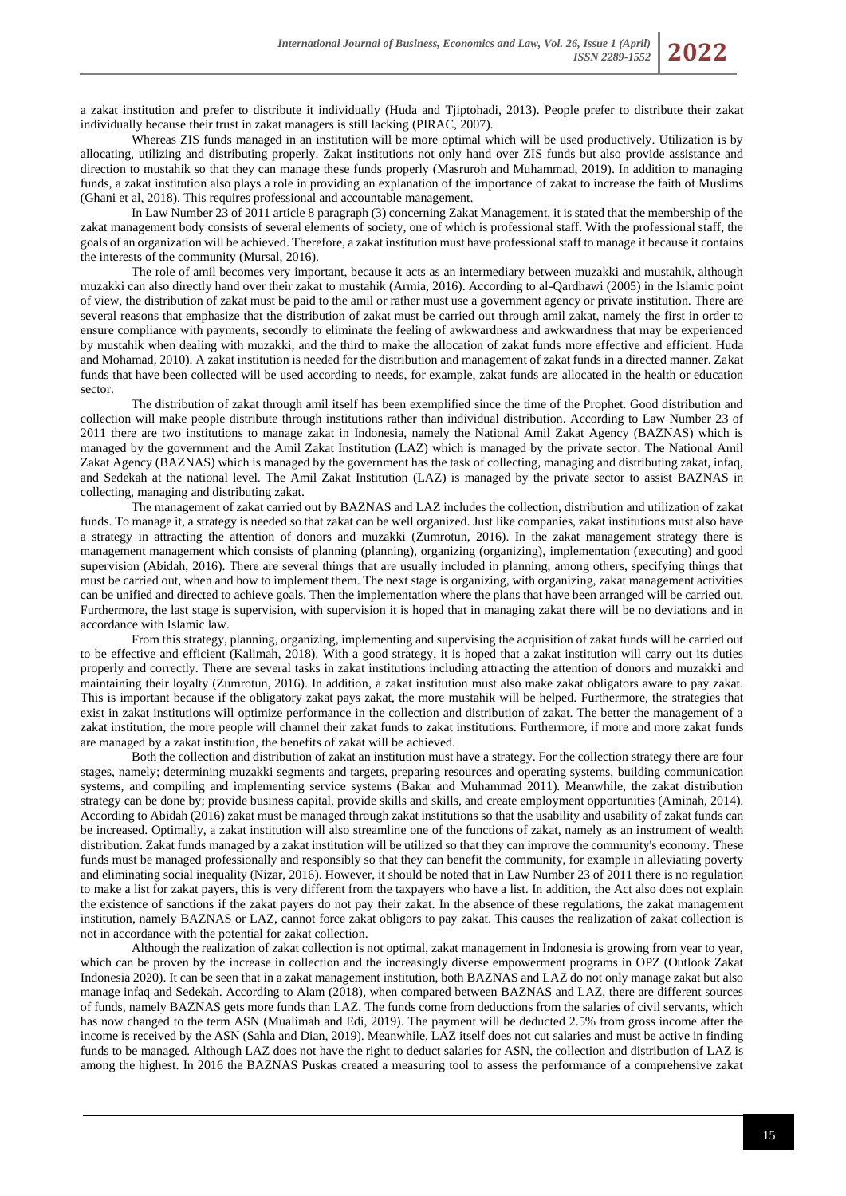a zakat institution and prefer to distribute it individually (Huda and Tjiptohadi, 2013). People prefer to distribute their zakat individually because their trust in zakat managers is still lacking (PIRAC, 2007).

Whereas ZIS funds managed in an institution will be more optimal which will be used productively. Utilization is by allocating, utilizing and distributing properly. Zakat institutions not only hand over ZIS funds but also provide assistance and direction to mustahik so that they can manage these funds properly (Masruroh and Muhammad, 2019). In addition to managing funds, a zakat institution also plays a role in providing an explanation of the importance of zakat to increase the faith of Muslims (Ghani et al, 2018). This requires professional and accountable management.

In Law Number 23 of 2011 article 8 paragraph (3) concerning Zakat Management, it is stated that the membership of the zakat management body consists of several elements of society, one of which is professional staff. With the professional staff, the goals of an organization will be achieved. Therefore, a zakat institution must have professional staff to manage it because it contains the interests of the community (Mursal, 2016).

The role of amil becomes very important, because it acts as an intermediary between muzakki and mustahik, although muzakki can also directly hand over their zakat to mustahik (Armia, 2016). According to al-Qardhawi (2005) in the Islamic point of view, the distribution of zakat must be paid to the amil or rather must use a government agency or private institution. There are several reasons that emphasize that the distribution of zakat must be carried out through amil zakat, namely the first in order to ensure compliance with payments, secondly to eliminate the feeling of awkwardness and awkwardness that may be experienced by mustahik when dealing with muzakki, and the third to make the allocation of zakat funds more effective and efficient. Huda and Mohamad, 2010). A zakat institution is needed for the distribution and management of zakat funds in a directed manner. Zakat funds that have been collected will be used according to needs, for example, zakat funds are allocated in the health or education sector.

The distribution of zakat through amil itself has been exemplified since the time of the Prophet. Good distribution and collection will make people distribute through institutions rather than individual distribution. According to Law Number 23 of 2011 there are two institutions to manage zakat in Indonesia, namely the National Amil Zakat Agency (BAZNAS) which is managed by the government and the Amil Zakat Institution (LAZ) which is managed by the private sector. The National Amil Zakat Agency (BAZNAS) which is managed by the government has the task of collecting, managing and distributing zakat, infaq, and Sedekah at the national level. The Amil Zakat Institution (LAZ) is managed by the private sector to assist BAZNAS in collecting, managing and distributing zakat.

The management of zakat carried out by BAZNAS and LAZ includes the collection, distribution and utilization of zakat funds. To manage it, a strategy is needed so that zakat can be well organized. Just like companies, zakat institutions must also have a strategy in attracting the attention of donors and muzakki (Zumrotun, 2016). In the zakat management strategy there is management management which consists of planning (planning), organizing (organizing), implementation (executing) and good supervision (Abidah, 2016). There are several things that are usually included in planning, among others, specifying things that must be carried out, when and how to implement them. The next stage is organizing, with organizing, zakat management activities can be unified and directed to achieve goals. Then the implementation where the plans that have been arranged will be carried out. Furthermore, the last stage is supervision, with supervision it is hoped that in managing zakat there will be no deviations and in accordance with Islamic law.

From this strategy, planning, organizing, implementing and supervising the acquisition of zakat funds will be carried out to be effective and efficient (Kalimah, 2018). With a good strategy, it is hoped that a zakat institution will carry out its duties properly and correctly. There are several tasks in zakat institutions including attracting the attention of donors and muzakki and maintaining their loyalty (Zumrotun, 2016). In addition, a zakat institution must also make zakat obligators aware to pay zakat. This is important because if the obligatory zakat pays zakat, the more mustahik will be helped. Furthermore, the strategies that exist in zakat institutions will optimize performance in the collection and distribution of zakat. The better the management of a zakat institution, the more people will channel their zakat funds to zakat institutions. Furthermore, if more and more zakat funds are managed by a zakat institution, the benefits of zakat will be achieved.

Both the collection and distribution of zakat an institution must have a strategy. For the collection strategy there are four stages, namely; determining muzakki segments and targets, preparing resources and operating systems, building communication systems, and compiling and implementing service systems (Bakar and Muhammad 2011). Meanwhile, the zakat distribution strategy can be done by; provide business capital, provide skills and skills, and create employment opportunities (Aminah, 2014). According to Abidah (2016) zakat must be managed through zakat institutions so that the usability and usability of zakat funds can be increased. Optimally, a zakat institution will also streamline one of the functions of zakat, namely as an instrument of wealth distribution. Zakat funds managed by a zakat institution will be utilized so that they can improve the community's economy. These funds must be managed professionally and responsibly so that they can benefit the community, for example in alleviating poverty and eliminating social inequality (Nizar, 2016). However, it should be noted that in Law Number 23 of 2011 there is no regulation to make a list for zakat payers, this is very different from the taxpayers who have a list. In addition, the Act also does not explain the existence of sanctions if the zakat payers do not pay their zakat. In the absence of these regulations, the zakat management institution, namely BAZNAS or LAZ, cannot force zakat obligors to pay zakat. This causes the realization of zakat collection is not in accordance with the potential for zakat collection.

Although the realization of zakat collection is not optimal, zakat management in Indonesia is growing from year to year, which can be proven by the increase in collection and the increasingly diverse empowerment programs in OPZ (Outlook Zakat Indonesia 2020). It can be seen that in a zakat management institution, both BAZNAS and LAZ do not only manage zakat but also manage infaq and Sedekah. According to Alam (2018), when compared between BAZNAS and LAZ, there are different sources of funds, namely BAZNAS gets more funds than LAZ. The funds come from deductions from the salaries of civil servants, which has now changed to the term ASN (Mualimah and Edi, 2019). The payment will be deducted 2.5% from gross income after the income is received by the ASN (Sahla and Dian, 2019). Meanwhile, LAZ itself does not cut salaries and must be active in finding funds to be managed. Although LAZ does not have the right to deduct salaries for ASN, the collection and distribution of LAZ is among the highest. In 2016 the BAZNAS Puskas created a measuring tool to assess the performance of a comprehensive zakat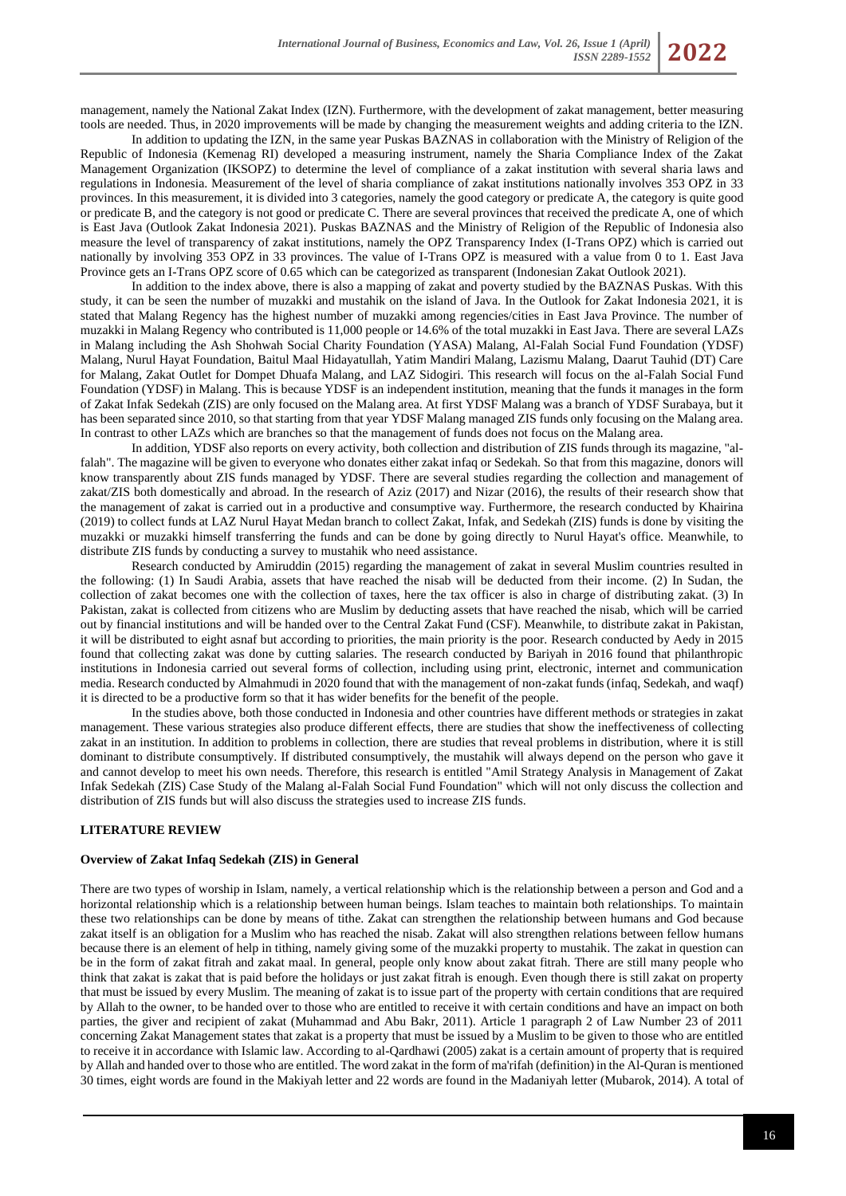management, namely the National Zakat Index (IZN). Furthermore, with the development of zakat management, better measuring tools are needed. Thus, in 2020 improvements will be made by changing the measurement weights and adding criteria to the IZN.

In addition to updating the IZN, in the same year Puskas BAZNAS in collaboration with the Ministry of Religion of the Republic of Indonesia (Kemenag RI) developed a measuring instrument, namely the Sharia Compliance Index of the Zakat Management Organization (IKSOPZ) to determine the level of compliance of a zakat institution with several sharia laws and regulations in Indonesia. Measurement of the level of sharia compliance of zakat institutions nationally involves 353 OPZ in 33 provinces. In this measurement, it is divided into 3 categories, namely the good category or predicate A, the category is quite good or predicate B, and the category is not good or predicate C. There are several provinces that received the predicate A, one of which is East Java (Outlook Zakat Indonesia 2021). Puskas BAZNAS and the Ministry of Religion of the Republic of Indonesia also measure the level of transparency of zakat institutions, namely the OPZ Transparency Index (I-Trans OPZ) which is carried out nationally by involving 353 OPZ in 33 provinces. The value of I-Trans OPZ is measured with a value from 0 to 1. East Java Province gets an I-Trans OPZ score of 0.65 which can be categorized as transparent (Indonesian Zakat Outlook 2021).

In addition to the index above, there is also a mapping of zakat and poverty studied by the BAZNAS Puskas. With this study, it can be seen the number of muzakki and mustahik on the island of Java. In the Outlook for Zakat Indonesia 2021, it is stated that Malang Regency has the highest number of muzakki among regencies/cities in East Java Province. The number of muzakki in Malang Regency who contributed is 11,000 people or 14.6% of the total muzakki in East Java. There are several LAZs in Malang including the Ash Shohwah Social Charity Foundation (YASA) Malang, Al-Falah Social Fund Foundation (YDSF) Malang, Nurul Hayat Foundation, Baitul Maal Hidayatullah, Yatim Mandiri Malang, Lazismu Malang, Daarut Tauhid (DT) Care for Malang, Zakat Outlet for Dompet Dhuafa Malang, and LAZ Sidogiri. This research will focus on the al-Falah Social Fund Foundation (YDSF) in Malang. This is because YDSF is an independent institution, meaning that the funds it manages in the form of Zakat Infak Sedekah (ZIS) are only focused on the Malang area. At first YDSF Malang was a branch of YDSF Surabaya, but it has been separated since 2010, so that starting from that year YDSF Malang managed ZIS funds only focusing on the Malang area. In contrast to other LAZs which are branches so that the management of funds does not focus on the Malang area.

In addition, YDSF also reports on every activity, both collection and distribution of ZIS funds through its magazine, "alfalah". The magazine will be given to everyone who donates either zakat infaq or Sedekah. So that from this magazine, donors will know transparently about ZIS funds managed by YDSF. There are several studies regarding the collection and management of zakat/ZIS both domestically and abroad. In the research of Aziz (2017) and Nizar (2016), the results of their research show that the management of zakat is carried out in a productive and consumptive way. Furthermore, the research conducted by Khairina (2019) to collect funds at LAZ Nurul Hayat Medan branch to collect Zakat, Infak, and Sedekah (ZIS) funds is done by visiting the muzakki or muzakki himself transferring the funds and can be done by going directly to Nurul Hayat's office. Meanwhile, to distribute ZIS funds by conducting a survey to mustahik who need assistance.

Research conducted by Amiruddin (2015) regarding the management of zakat in several Muslim countries resulted in the following: (1) In Saudi Arabia, assets that have reached the nisab will be deducted from their income. (2) In Sudan, the collection of zakat becomes one with the collection of taxes, here the tax officer is also in charge of distributing zakat. (3) In Pakistan, zakat is collected from citizens who are Muslim by deducting assets that have reached the nisab, which will be carried out by financial institutions and will be handed over to the Central Zakat Fund (CSF). Meanwhile, to distribute zakat in Pakistan, it will be distributed to eight asnaf but according to priorities, the main priority is the poor. Research conducted by Aedy in 2015 found that collecting zakat was done by cutting salaries. The research conducted by Bariyah in 2016 found that philanthropic institutions in Indonesia carried out several forms of collection, including using print, electronic, internet and communication media. Research conducted by Almahmudi in 2020 found that with the management of non-zakat funds (infaq, Sedekah, and waqf) it is directed to be a productive form so that it has wider benefits for the benefit of the people.

In the studies above, both those conducted in Indonesia and other countries have different methods or strategies in zakat management. These various strategies also produce different effects, there are studies that show the ineffectiveness of collecting zakat in an institution. In addition to problems in collection, there are studies that reveal problems in distribution, where it is still dominant to distribute consumptively. If distributed consumptively, the mustahik will always depend on the person who gave it and cannot develop to meet his own needs. Therefore, this research is entitled "Amil Strategy Analysis in Management of Zakat Infak Sedekah (ZIS) Case Study of the Malang al-Falah Social Fund Foundation" which will not only discuss the collection and distribution of ZIS funds but will also discuss the strategies used to increase ZIS funds.

### **LITERATURE REVIEW**

#### **Overview of Zakat Infaq Sedekah (ZIS) in General**

There are two types of worship in Islam, namely, a vertical relationship which is the relationship between a person and God and a horizontal relationship which is a relationship between human beings. Islam teaches to maintain both relationships. To maintain these two relationships can be done by means of tithe. Zakat can strengthen the relationship between humans and God because zakat itself is an obligation for a Muslim who has reached the nisab. Zakat will also strengthen relations between fellow humans because there is an element of help in tithing, namely giving some of the muzakki property to mustahik. The zakat in question can be in the form of zakat fitrah and zakat maal. In general, people only know about zakat fitrah. There are still many people who think that zakat is zakat that is paid before the holidays or just zakat fitrah is enough. Even though there is still zakat on property that must be issued by every Muslim. The meaning of zakat is to issue part of the property with certain conditions that are required by Allah to the owner, to be handed over to those who are entitled to receive it with certain conditions and have an impact on both parties, the giver and recipient of zakat (Muhammad and Abu Bakr, 2011). Article 1 paragraph 2 of Law Number 23 of 2011 concerning Zakat Management states that zakat is a property that must be issued by a Muslim to be given to those who are entitled to receive it in accordance with Islamic law. According to al-Qardhawi (2005) zakat is a certain amount of property that is required by Allah and handed over to those who are entitled. The word zakat in the form of ma'rifah (definition) in the Al-Quran is mentioned 30 times, eight words are found in the Makiyah letter and 22 words are found in the Madaniyah letter (Mubarok, 2014). A total of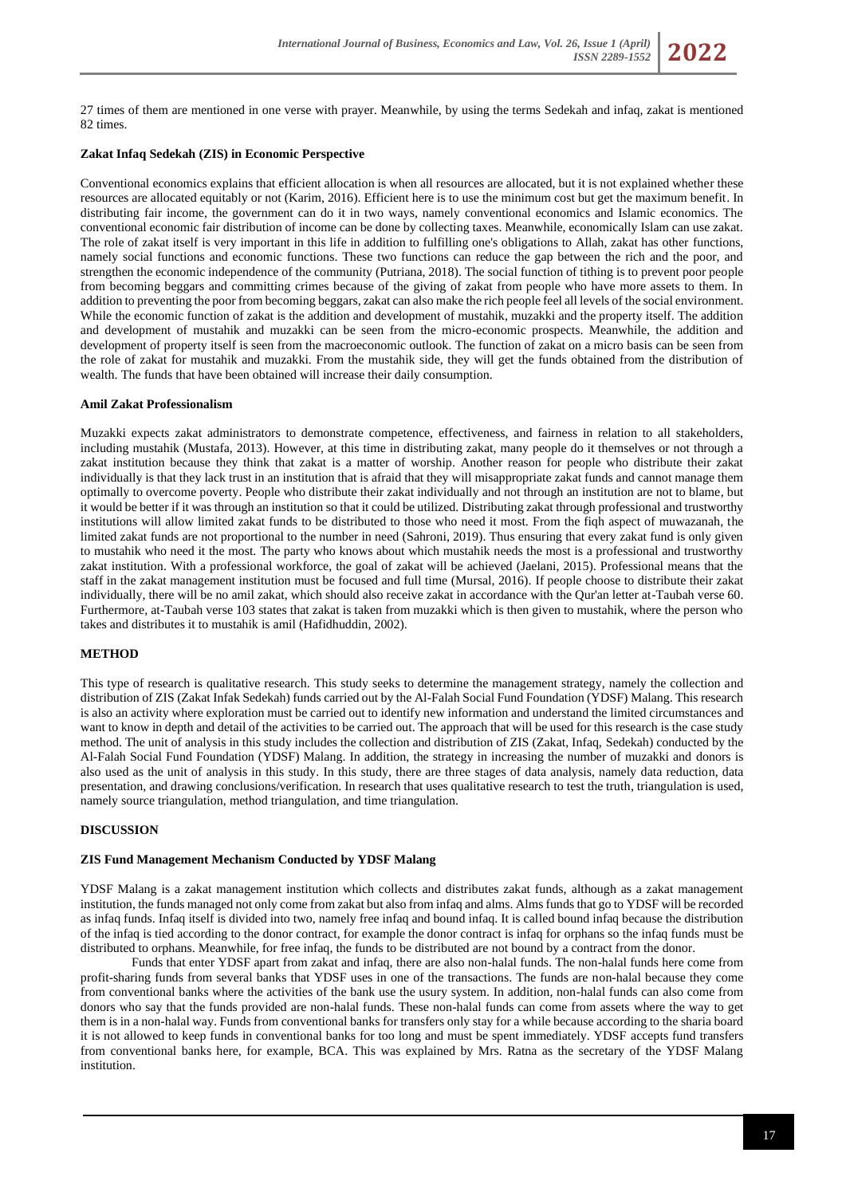27 times of them are mentioned in one verse with prayer. Meanwhile, by using the terms Sedekah and infaq, zakat is mentioned 82 times.

# **Zakat Infaq Sedekah (ZIS) in Economic Perspective**

Conventional economics explains that efficient allocation is when all resources are allocated, but it is not explained whether these resources are allocated equitably or not (Karim, 2016). Efficient here is to use the minimum cost but get the maximum benefit. In distributing fair income, the government can do it in two ways, namely conventional economics and Islamic economics. The conventional economic fair distribution of income can be done by collecting taxes. Meanwhile, economically Islam can use zakat. The role of zakat itself is very important in this life in addition to fulfilling one's obligations to Allah, zakat has other functions, namely social functions and economic functions. These two functions can reduce the gap between the rich and the poor, and strengthen the economic independence of the community (Putriana, 2018). The social function of tithing is to prevent poor people from becoming beggars and committing crimes because of the giving of zakat from people who have more assets to them. In addition to preventing the poor from becoming beggars, zakat can also make the rich people feel all levels of the social environment. While the economic function of zakat is the addition and development of mustahik, muzakki and the property itself. The addition and development of mustahik and muzakki can be seen from the micro-economic prospects. Meanwhile, the addition and development of property itself is seen from the macroeconomic outlook. The function of zakat on a micro basis can be seen from the role of zakat for mustahik and muzakki. From the mustahik side, they will get the funds obtained from the distribution of wealth. The funds that have been obtained will increase their daily consumption.

# **Amil Zakat Professionalism**

Muzakki expects zakat administrators to demonstrate competence, effectiveness, and fairness in relation to all stakeholders, including mustahik (Mustafa, 2013). However, at this time in distributing zakat, many people do it themselves or not through a zakat institution because they think that zakat is a matter of worship. Another reason for people who distribute their zakat individually is that they lack trust in an institution that is afraid that they will misappropriate zakat funds and cannot manage them optimally to overcome poverty. People who distribute their zakat individually and not through an institution are not to blame, but it would be better if it was through an institution so that it could be utilized. Distributing zakat through professional and trustworthy institutions will allow limited zakat funds to be distributed to those who need it most. From the fiqh aspect of muwazanah, the limited zakat funds are not proportional to the number in need (Sahroni, 2019). Thus ensuring that every zakat fund is only given to mustahik who need it the most. The party who knows about which mustahik needs the most is a professional and trustworthy zakat institution. With a professional workforce, the goal of zakat will be achieved (Jaelani, 2015). Professional means that the staff in the zakat management institution must be focused and full time (Mursal, 2016). If people choose to distribute their zakat individually, there will be no amil zakat, which should also receive zakat in accordance with the Qur'an letter at-Taubah verse 60. Furthermore, at-Taubah verse 103 states that zakat is taken from muzakki which is then given to mustahik, where the person who takes and distributes it to mustahik is amil (Hafidhuddin, 2002).

# **METHOD**

This type of research is qualitative research. This study seeks to determine the management strategy, namely the collection and distribution of ZIS (Zakat Infak Sedekah) funds carried out by the Al-Falah Social Fund Foundation (YDSF) Malang. This research is also an activity where exploration must be carried out to identify new information and understand the limited circumstances and want to know in depth and detail of the activities to be carried out. The approach that will be used for this research is the case study method. The unit of analysis in this study includes the collection and distribution of ZIS (Zakat, Infaq, Sedekah) conducted by the Al-Falah Social Fund Foundation (YDSF) Malang. In addition, the strategy in increasing the number of muzakki and donors is also used as the unit of analysis in this study. In this study, there are three stages of data analysis, namely data reduction, data presentation, and drawing conclusions/verification. In research that uses qualitative research to test the truth, triangulation is used, namely source triangulation, method triangulation, and time triangulation.

# **DISCUSSION**

#### **ZIS Fund Management Mechanism Conducted by YDSF Malang**

YDSF Malang is a zakat management institution which collects and distributes zakat funds, although as a zakat management institution, the funds managed not only come from zakat but also from infaq and alms. Alms funds that go to YDSF will be recorded as infaq funds. Infaq itself is divided into two, namely free infaq and bound infaq. It is called bound infaq because the distribution of the infaq is tied according to the donor contract, for example the donor contract is infaq for orphans so the infaq funds must be distributed to orphans. Meanwhile, for free infaq, the funds to be distributed are not bound by a contract from the donor.

Funds that enter YDSF apart from zakat and infaq, there are also non-halal funds. The non-halal funds here come from profit-sharing funds from several banks that YDSF uses in one of the transactions. The funds are non-halal because they come from conventional banks where the activities of the bank use the usury system. In addition, non-halal funds can also come from donors who say that the funds provided are non-halal funds. These non-halal funds can come from assets where the way to get them is in a non-halal way. Funds from conventional banks for transfers only stay for a while because according to the sharia board it is not allowed to keep funds in conventional banks for too long and must be spent immediately. YDSF accepts fund transfers from conventional banks here, for example, BCA. This was explained by Mrs. Ratna as the secretary of the YDSF Malang institution.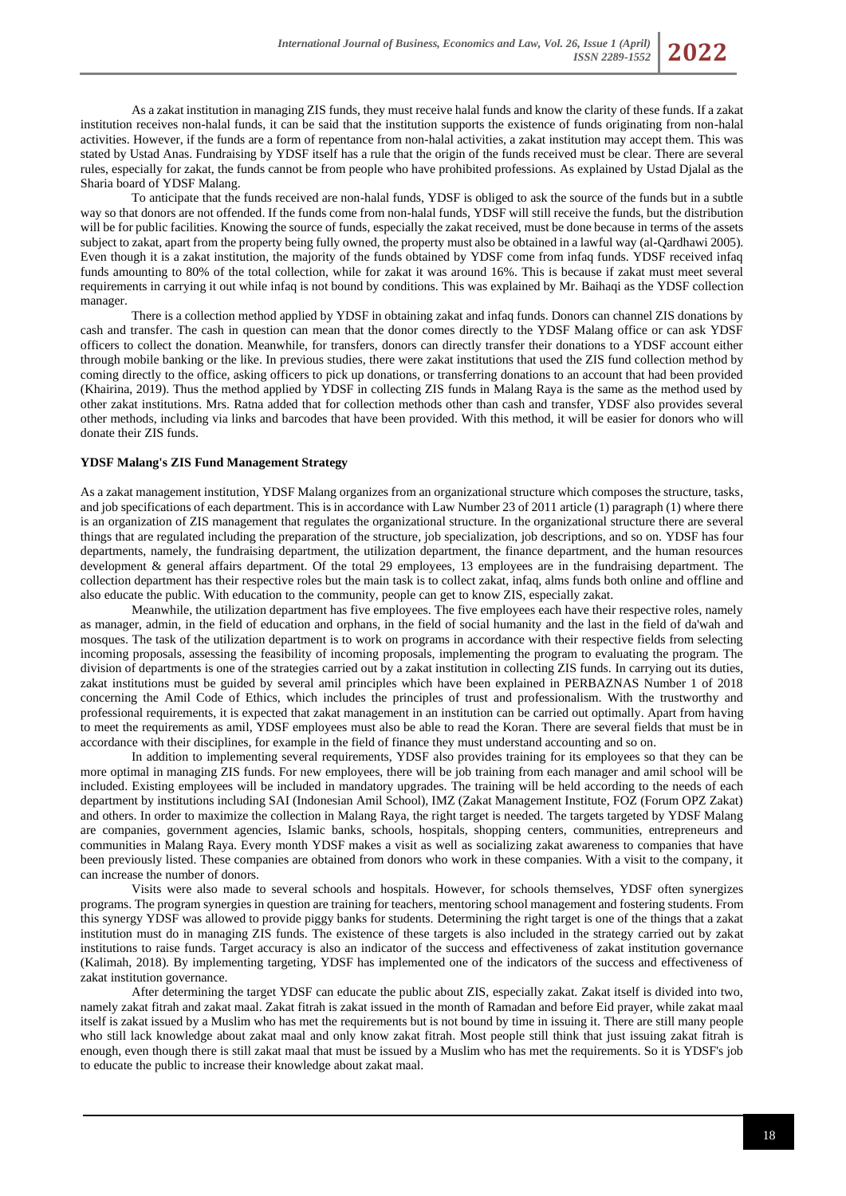

As a zakat institution in managing ZIS funds, they must receive halal funds and know the clarity of these funds. If a zakat institution receives non-halal funds, it can be said that the institution supports the existence of funds originating from non-halal activities. However, if the funds are a form of repentance from non-halal activities, a zakat institution may accept them. This was stated by Ustad Anas. Fundraising by YDSF itself has a rule that the origin of the funds received must be clear. There are several rules, especially for zakat, the funds cannot be from people who have prohibited professions. As explained by Ustad Djalal as the Sharia board of YDSF Malang.

To anticipate that the funds received are non-halal funds, YDSF is obliged to ask the source of the funds but in a subtle way so that donors are not offended. If the funds come from non-halal funds, YDSF will still receive the funds, but the distribution will be for public facilities. Knowing the source of funds, especially the zakat received, must be done because in terms of the assets subject to zakat, apart from the property being fully owned, the property must also be obtained in a lawful way (al-Qardhawi 2005). Even though it is a zakat institution, the majority of the funds obtained by YDSF come from infaq funds. YDSF received infaq funds amounting to 80% of the total collection, while for zakat it was around 16%. This is because if zakat must meet several requirements in carrying it out while infaq is not bound by conditions. This was explained by Mr. Baihaqi as the YDSF collection manager.

There is a collection method applied by YDSF in obtaining zakat and infaq funds. Donors can channel ZIS donations by cash and transfer. The cash in question can mean that the donor comes directly to the YDSF Malang office or can ask YDSF officers to collect the donation. Meanwhile, for transfers, donors can directly transfer their donations to a YDSF account either through mobile banking or the like. In previous studies, there were zakat institutions that used the ZIS fund collection method by coming directly to the office, asking officers to pick up donations, or transferring donations to an account that had been provided (Khairina, 2019). Thus the method applied by YDSF in collecting ZIS funds in Malang Raya is the same as the method used by other zakat institutions. Mrs. Ratna added that for collection methods other than cash and transfer, YDSF also provides several other methods, including via links and barcodes that have been provided. With this method, it will be easier for donors who will donate their ZIS funds.

### **YDSF Malang's ZIS Fund Management Strategy**

As a zakat management institution, YDSF Malang organizes from an organizational structure which composes the structure, tasks, and job specifications of each department. This is in accordance with Law Number 23 of 2011 article (1) paragraph (1) where there is an organization of ZIS management that regulates the organizational structure. In the organizational structure there are several things that are regulated including the preparation of the structure, job specialization, job descriptions, and so on. YDSF has four departments, namely, the fundraising department, the utilization department, the finance department, and the human resources development & general affairs department. Of the total 29 employees, 13 employees are in the fundraising department. The collection department has their respective roles but the main task is to collect zakat, infaq, alms funds both online and offline and also educate the public. With education to the community, people can get to know ZIS, especially zakat.

Meanwhile, the utilization department has five employees. The five employees each have their respective roles, namely as manager, admin, in the field of education and orphans, in the field of social humanity and the last in the field of da'wah and mosques. The task of the utilization department is to work on programs in accordance with their respective fields from selecting incoming proposals, assessing the feasibility of incoming proposals, implementing the program to evaluating the program. The division of departments is one of the strategies carried out by a zakat institution in collecting ZIS funds. In carrying out its duties, zakat institutions must be guided by several amil principles which have been explained in PERBAZNAS Number 1 of 2018 concerning the Amil Code of Ethics, which includes the principles of trust and professionalism. With the trustworthy and professional requirements, it is expected that zakat management in an institution can be carried out optimally. Apart from having to meet the requirements as amil, YDSF employees must also be able to read the Koran. There are several fields that must be in accordance with their disciplines, for example in the field of finance they must understand accounting and so on.

In addition to implementing several requirements, YDSF also provides training for its employees so that they can be more optimal in managing ZIS funds. For new employees, there will be job training from each manager and amil school will be included. Existing employees will be included in mandatory upgrades. The training will be held according to the needs of each department by institutions including SAI (Indonesian Amil School), IMZ (Zakat Management Institute, FOZ (Forum OPZ Zakat) and others. In order to maximize the collection in Malang Raya, the right target is needed. The targets targeted by YDSF Malang are companies, government agencies, Islamic banks, schools, hospitals, shopping centers, communities, entrepreneurs and communities in Malang Raya. Every month YDSF makes a visit as well as socializing zakat awareness to companies that have been previously listed. These companies are obtained from donors who work in these companies. With a visit to the company, it can increase the number of donors.

Visits were also made to several schools and hospitals. However, for schools themselves, YDSF often synergizes programs. The program synergies in question are training for teachers, mentoring school management and fostering students. From this synergy YDSF was allowed to provide piggy banks for students. Determining the right target is one of the things that a zakat institution must do in managing ZIS funds. The existence of these targets is also included in the strategy carried out by zakat institutions to raise funds. Target accuracy is also an indicator of the success and effectiveness of zakat institution governance (Kalimah, 2018). By implementing targeting, YDSF has implemented one of the indicators of the success and effectiveness of zakat institution governance.

After determining the target YDSF can educate the public about ZIS, especially zakat. Zakat itself is divided into two, namely zakat fitrah and zakat maal. Zakat fitrah is zakat issued in the month of Ramadan and before Eid prayer, while zakat maal itself is zakat issued by a Muslim who has met the requirements but is not bound by time in issuing it. There are still many people who still lack knowledge about zakat maal and only know zakat fitrah. Most people still think that just issuing zakat fitrah is enough, even though there is still zakat maal that must be issued by a Muslim who has met the requirements. So it is YDSF's job to educate the public to increase their knowledge about zakat maal.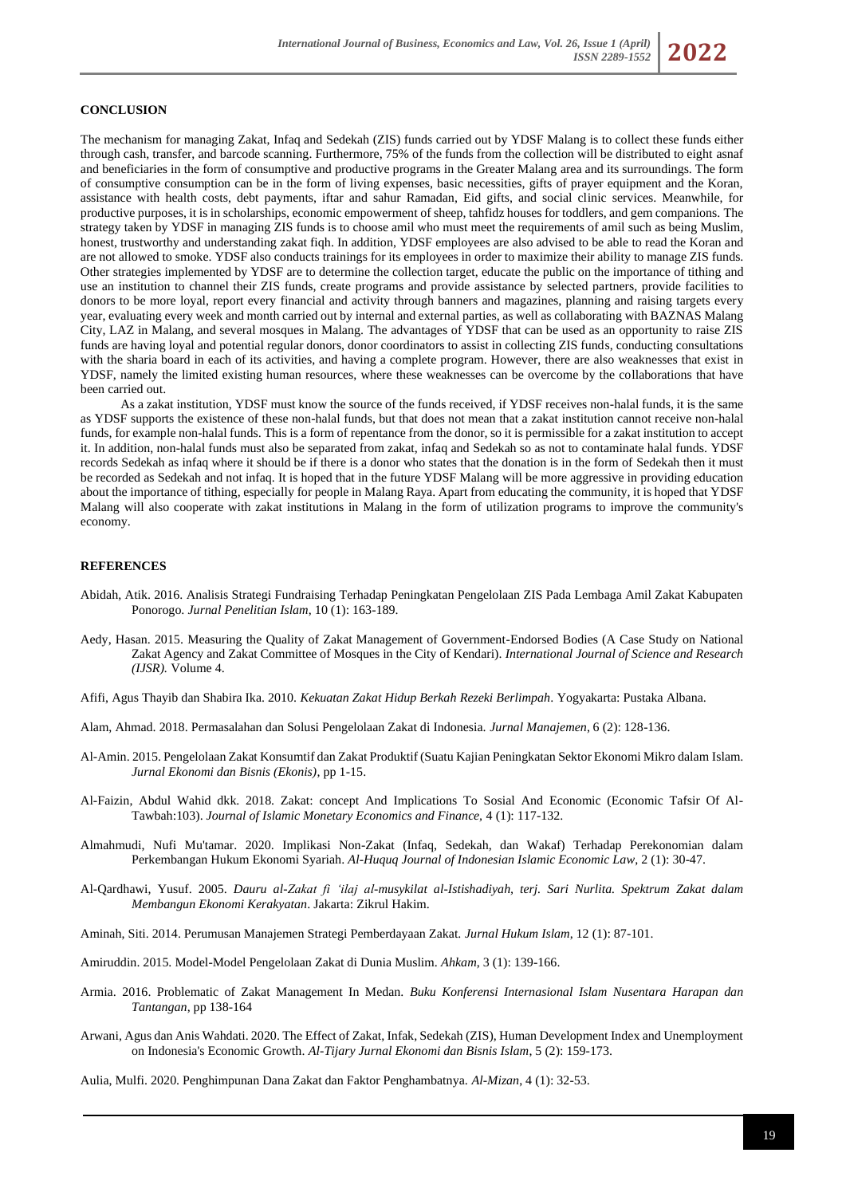

### **CONCLUSION**

The mechanism for managing Zakat, Infaq and Sedekah (ZIS) funds carried out by YDSF Malang is to collect these funds either through cash, transfer, and barcode scanning. Furthermore, 75% of the funds from the collection will be distributed to eight asnaf and beneficiaries in the form of consumptive and productive programs in the Greater Malang area and its surroundings. The form of consumptive consumption can be in the form of living expenses, basic necessities, gifts of prayer equipment and the Koran, assistance with health costs, debt payments, iftar and sahur Ramadan, Eid gifts, and social clinic services. Meanwhile, for productive purposes, it is in scholarships, economic empowerment of sheep, tahfidz houses for toddlers, and gem companions. The strategy taken by YDSF in managing ZIS funds is to choose amil who must meet the requirements of amil such as being Muslim, honest, trustworthy and understanding zakat fiqh. In addition, YDSF employees are also advised to be able to read the Koran and are not allowed to smoke. YDSF also conducts trainings for its employees in order to maximize their ability to manage ZIS funds. Other strategies implemented by YDSF are to determine the collection target, educate the public on the importance of tithing and use an institution to channel their ZIS funds, create programs and provide assistance by selected partners, provide facilities to donors to be more loyal, report every financial and activity through banners and magazines, planning and raising targets every year, evaluating every week and month carried out by internal and external parties, as well as collaborating with BAZNAS Malang City, LAZ in Malang, and several mosques in Malang. The advantages of YDSF that can be used as an opportunity to raise ZIS funds are having loyal and potential regular donors, donor coordinators to assist in collecting ZIS funds, conducting consultations with the sharia board in each of its activities, and having a complete program. However, there are also weaknesses that exist in YDSF, namely the limited existing human resources, where these weaknesses can be overcome by the collaborations that have been carried out.

As a zakat institution, YDSF must know the source of the funds received, if YDSF receives non-halal funds, it is the same as YDSF supports the existence of these non-halal funds, but that does not mean that a zakat institution cannot receive non-halal funds, for example non-halal funds. This is a form of repentance from the donor, so it is permissible for a zakat institution to accept it. In addition, non-halal funds must also be separated from zakat, infaq and Sedekah so as not to contaminate halal funds. YDSF records Sedekah as infaq where it should be if there is a donor who states that the donation is in the form of Sedekah then it must be recorded as Sedekah and not infaq. It is hoped that in the future YDSF Malang will be more aggressive in providing education about the importance of tithing, especially for people in Malang Raya. Apart from educating the community, it is hoped that YDSF Malang will also cooperate with zakat institutions in Malang in the form of utilization programs to improve the community's economy.

### **REFERENCES**

- Abidah, Atik. 2016. Analisis Strategi Fundraising Terhadap Peningkatan Pengelolaan ZIS Pada Lembaga Amil Zakat Kabupaten Ponorogo. *Jurnal Penelitian Islam*, 10 (1): 163-189.
- Aedy, Hasan. 2015. Measuring the Quality of Zakat Management of Government-Endorsed Bodies (A Case Study on National Zakat Agency and Zakat Committee of Mosques in the City of Kendari). *International Journal of Science and Research (IJSR).* Volume 4.
- Afifi, Agus Thayib dan Shabira Ika. 2010. *Kekuatan Zakat Hidup Berkah Rezeki Berlimpah*. Yogyakarta: Pustaka Albana.
- Alam, Ahmad. 2018. Permasalahan dan Solusi Pengelolaan Zakat di Indonesia. *Jurnal Manajemen*, 6 (2): 128-136.
- Al-Amin. 2015. Pengelolaan Zakat Konsumtif dan Zakat Produktif (Suatu Kajian Peningkatan Sektor Ekonomi Mikro dalam Islam. *Jurnal Ekonomi dan Bisnis (Ekonis)*, pp 1-15.
- Al-Faizin, Abdul Wahid dkk. 2018. Zakat: concept And Implications To Sosial And Economic (Economic Tafsir Of Al-Tawbah:103). *Journal of Islamic Monetary Economics and Finance,* 4 (1): 117-132.
- Almahmudi, Nufi Mu'tamar. 2020. Implikasi Non-Zakat (Infaq, Sedekah, dan Wakaf) Terhadap Perekonomian dalam Perkembangan Hukum Ekonomi Syariah. *Al-Huquq Journal of Indonesian Islamic Economic Law*, 2 (1): 30-47.
- Al-Qardhawi, Yusuf. 2005. *Dauru al-Zakat fi 'ilaj al-musykilat al-Istishadiyah, terj. Sari Nurlita. Spektrum Zakat dalam Membangun Ekonomi Kerakyatan*. Jakarta: Zikrul Hakim.
- Aminah, Siti. 2014. Perumusan Manajemen Strategi Pemberdayaan Zakat. *Jurnal Hukum Islam*, 12 (1): 87-101.
- Amiruddin. 2015. Model-Model Pengelolaan Zakat di Dunia Muslim. *Ahkam*, 3 (1): 139-166.
- Armia. 2016. Problematic of Zakat Management In Medan. *Buku Konferensi Internasional Islam Nusentara Harapan dan Tantangan*, pp 138-164
- Arwani, Agus dan Anis Wahdati. 2020. The Effect of Zakat, Infak, Sedekah (ZIS), Human Development Index and Unemployment on Indonesia's Economic Growth. *Al-Tijary Jurnal Ekonomi dan Bisnis Islam*, 5 (2): 159-173.
- Aulia, Mulfi. 2020. Penghimpunan Dana Zakat dan Faktor Penghambatnya. *Al-Mizan*, 4 (1): 32-53.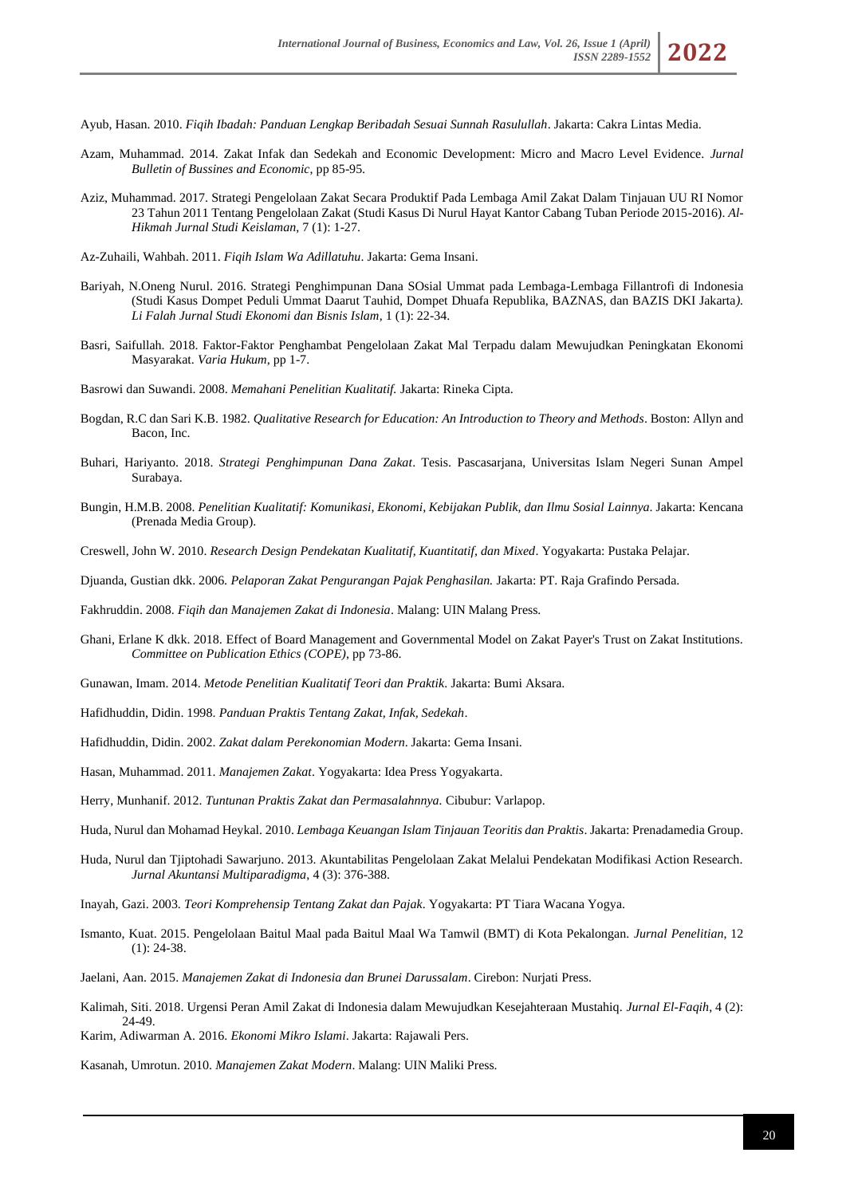Ayub, Hasan. 2010. *Fiqih Ibadah: Panduan Lengkap Beribadah Sesuai Sunnah Rasulullah*. Jakarta: Cakra Lintas Media.

- Azam, Muhammad. 2014. Zakat Infak dan Sedekah and Economic Development: Micro and Macro Level Evidence. *Jurnal Bulletin of Bussines and Economic*, pp 85-95.
- Aziz, Muhammad. 2017. Strategi Pengelolaan Zakat Secara Produktif Pada Lembaga Amil Zakat Dalam Tinjauan UU RI Nomor 23 Tahun 2011 Tentang Pengelolaan Zakat (Studi Kasus Di Nurul Hayat Kantor Cabang Tuban Periode 2015-2016). *Al-Hikmah Jurnal Studi Keislaman*, 7 (1): 1-27.
- Az-Zuhaili, Wahbah. 2011. *Fiqih Islam Wa Adillatuhu*. Jakarta: Gema Insani.
- Bariyah, N.Oneng Nurul. 2016. Strategi Penghimpunan Dana SOsial Ummat pada Lembaga-Lembaga Fillantrofi di Indonesia (Studi Kasus Dompet Peduli Ummat Daarut Tauhid, Dompet Dhuafa Republika, BAZNAS, dan BAZIS DKI Jakarta*). Li Falah Jurnal Studi Ekonomi dan Bisnis Islam*, 1 (1): 22-34.
- Basri, Saifullah. 2018. Faktor-Faktor Penghambat Pengelolaan Zakat Mal Terpadu dalam Mewujudkan Peningkatan Ekonomi Masyarakat. *Varia Hukum*, pp 1-7.
- Basrowi dan Suwandi. 2008. *Memahani Penelitian Kualitatif.* Jakarta: Rineka Cipta.
- Bogdan, R.C dan Sari K.B. 1982. *Qualitative Research for Education: An Introduction to Theory and Methods*. Boston: Allyn and Bacon, Inc.
- Buhari, Hariyanto. 2018. *Strategi Penghimpunan Dana Zakat*. Tesis. Pascasarjana, Universitas Islam Negeri Sunan Ampel Surabaya.
- Bungin, H.M.B. 2008. *Penelitian Kualitatif: Komunikasi, Ekonomi, Kebijakan Publik, dan Ilmu Sosial Lainnya*. Jakarta: Kencana (Prenada Media Group).
- Creswell, John W. 2010. *Research Design Pendekatan Kualitatif, Kuantitatif, dan Mixed*. Yogyakarta: Pustaka Pelajar.
- Djuanda, Gustian dkk. 2006. *Pelaporan Zakat Pengurangan Pajak Penghasilan.* Jakarta: PT. Raja Grafindo Persada.
- Fakhruddin. 2008. *Fiqih dan Manajemen Zakat di Indonesia*. Malang: UIN Malang Press.
- Ghani, Erlane K dkk. 2018. Effect of Board Management and Governmental Model on Zakat Payer's Trust on Zakat Institutions. *Committee on Publication Ethics (COPE)*, pp 73-86.
- Gunawan, Imam. 2014. *Metode Penelitian Kualitatif Teori dan Praktik*. Jakarta: Bumi Aksara.
- Hafidhuddin, Didin. 1998. *Panduan Praktis Tentang Zakat, Infak, Sedekah*.
- Hafidhuddin, Didin. 2002. *Zakat dalam Perekonomian Modern*. Jakarta: Gema Insani.
- Hasan, Muhammad. 2011. *Manajemen Zakat*. Yogyakarta: Idea Press Yogyakarta.
- Herry, Munhanif. 2012. *Tuntunan Praktis Zakat dan Permasalahnnya.* Cibubur: Varlapop.
- Huda, Nurul dan Mohamad Heykal. 2010. *Lembaga Keuangan Islam Tinjauan Teoritis dan Praktis*. Jakarta: Prenadamedia Group.
- Huda, Nurul dan Tjiptohadi Sawarjuno. 2013. Akuntabilitas Pengelolaan Zakat Melalui Pendekatan Modifikasi Action Research. *Jurnal Akuntansi Multiparadigma*, 4 (3): 376-388.
- Inayah, Gazi. 2003. *Teori Komprehensip Tentang Zakat dan Pajak*. Yogyakarta: PT Tiara Wacana Yogya.
- Ismanto, Kuat. 2015. Pengelolaan Baitul Maal pada Baitul Maal Wa Tamwil (BMT) di Kota Pekalongan. *Jurnal Penelitian*, 12 (1): 24-38.
- Jaelani, Aan. 2015. *Manajemen Zakat di Indonesia dan Brunei Darussalam*. Cirebon: Nurjati Press.
- Kalimah, Siti. 2018. Urgensi Peran Amil Zakat di Indonesia dalam Mewujudkan Kesejahteraan Mustahiq. *Jurnal El-Faqih*, 4 (2): 24-49.
- Karim, Adiwarman A. 2016. *Ekonomi Mikro Islami*. Jakarta: Rajawali Pers.
- Kasanah, Umrotun. 2010. *Manajemen Zakat Modern*. Malang: UIN Maliki Press.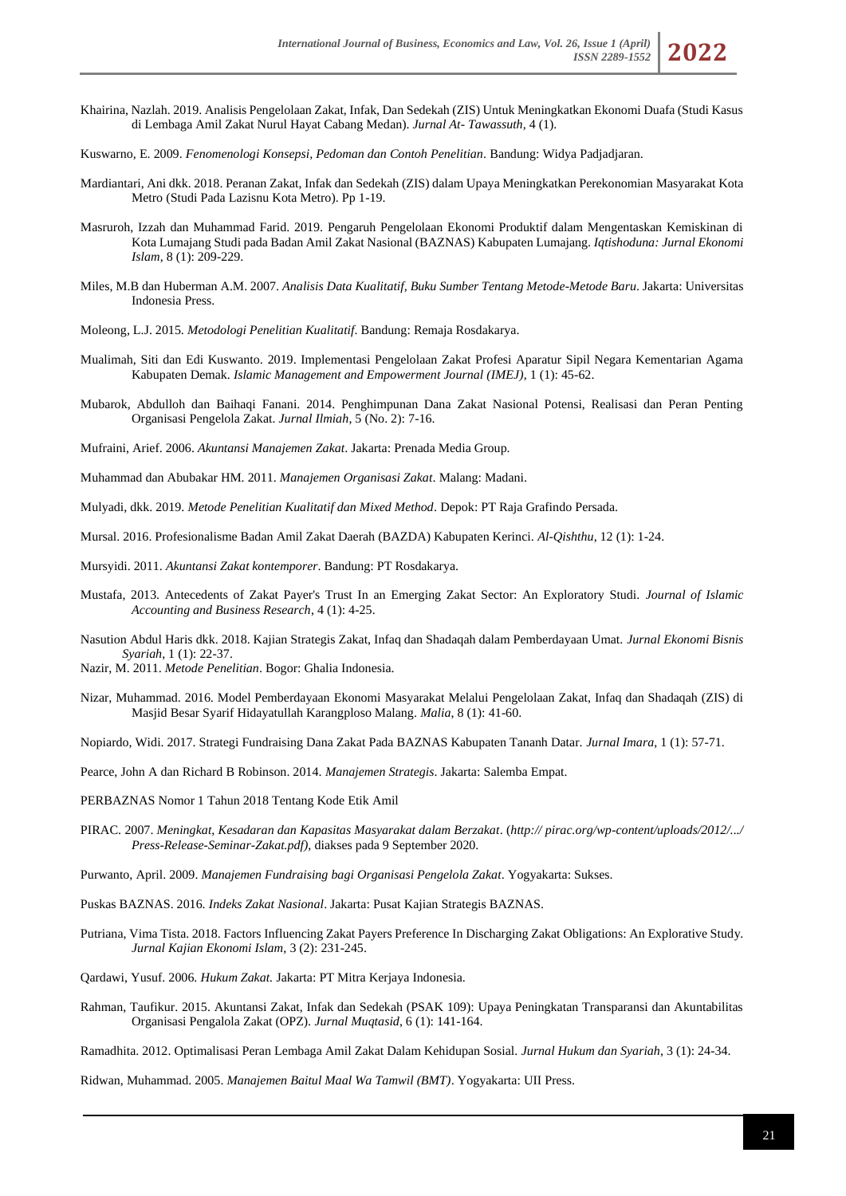- Khairina, Nazlah. 2019. Analisis Pengelolaan Zakat, Infak, Dan Sedekah (ZIS) Untuk Meningkatkan Ekonomi Duafa (Studi Kasus di Lembaga Amil Zakat Nurul Hayat Cabang Medan). *Jurnal At- Tawassuth,* 4 (1).
- Kuswarno, E. 2009. *Fenomenologi Konsepsi, Pedoman dan Contoh Penelitian*. Bandung: Widya Padjadjaran.
- Mardiantari, Ani dkk. 2018. Peranan Zakat, Infak dan Sedekah (ZIS) dalam Upaya Meningkatkan Perekonomian Masyarakat Kota Metro (Studi Pada Lazisnu Kota Metro). Pp 1-19.
- Masruroh, Izzah dan Muhammad Farid. 2019. Pengaruh Pengelolaan Ekonomi Produktif dalam Mengentaskan Kemiskinan di Kota Lumajang Studi pada Badan Amil Zakat Nasional (BAZNAS) Kabupaten Lumajang. *Iqtishoduna: Jurnal Ekonomi Islam*, 8 (1): 209-229.
- Miles, M.B dan Huberman A.M. 2007. *Analisis Data Kualitatif, Buku Sumber Tentang Metode-Metode Baru*. Jakarta: Universitas Indonesia Press.
- Moleong, L.J. 2015. *Metodologi Penelitian Kualitatif*. Bandung: Remaja Rosdakarya.
- Mualimah, Siti dan Edi Kuswanto. 2019. Implementasi Pengelolaan Zakat Profesi Aparatur Sipil Negara Kementarian Agama Kabupaten Demak. *Islamic Management and Empowerment Journal (IMEJ)*, 1 (1): 45-62.
- Mubarok, Abdulloh dan Baihaqi Fanani. 2014. Penghimpunan Dana Zakat Nasional Potensi, Realisasi dan Peran Penting Organisasi Pengelola Zakat. *Jurnal Ilmiah*, 5 (No. 2): 7-16.
- Mufraini, Arief. 2006. *Akuntansi Manajemen Zakat*. Jakarta: Prenada Media Group.
- Muhammad dan Abubakar HM. 2011. *Manajemen Organisasi Zakat*. Malang: Madani.
- Mulyadi, dkk. 2019. *Metode Penelitian Kualitatif dan Mixed Method*. Depok: PT Raja Grafindo Persada.
- Mursal. 2016. Profesionalisme Badan Amil Zakat Daerah (BAZDA) Kabupaten Kerinci. *Al-Qishthu*, 12 (1): 1-24.
- Mursyidi. 2011. *Akuntansi Zakat kontemporer*. Bandung: PT Rosdakarya.
- Mustafa, 2013. Antecedents of Zakat Payer's Trust In an Emerging Zakat Sector: An Exploratory Studi. *Journal of Islamic Accounting and Business Research*, 4 (1): 4-25.
- Nasution Abdul Haris dkk. 2018. Kajian Strategis Zakat, Infaq dan Shadaqah dalam Pemberdayaan Umat. *Jurnal Ekonomi Bisnis Syariah*, 1 (1): 22-37.
- Nazir, M. 2011. *Metode Penelitian*. Bogor: Ghalia Indonesia.
- Nizar, Muhammad. 2016. Model Pemberdayaan Ekonomi Masyarakat Melalui Pengelolaan Zakat, Infaq dan Shadaqah (ZIS) di Masjid Besar Syarif Hidayatullah Karangploso Malang. *Malia*, 8 (1): 41-60.
- Nopiardo, Widi. 2017. Strategi Fundraising Dana Zakat Pada BAZNAS Kabupaten Tananh Datar. *Jurnal Imara*, 1 (1): 57-71.
- Pearce, John A dan Richard B Robinson. 2014. *Manajemen Strategis*. Jakarta: Salemba Empat.
- PERBAZNAS Nomor 1 Tahun 2018 Tentang Kode Etik Amil
- PIRAC. 2007. *Meningkat, Kesadaran dan Kapasitas Masyarakat dalam Berzakat*. (*http:// pirac.org/wp-content/uploads/2012/.../ Press-Release-Seminar-Zakat.pdf)*, diakses pada 9 September 2020.
- Purwanto, April. 2009. *Manajemen Fundraising bagi Organisasi Pengelola Zakat*. Yogyakarta: Sukses.
- Puskas BAZNAS. 2016. *Indeks Zakat Nasional*. Jakarta: Pusat Kajian Strategis BAZNAS.
- Putriana, Vima Tista. 2018. Factors Influencing Zakat Payers Preference In Discharging Zakat Obligations: An Explorative Study. *Jurnal Kajian Ekonomi Islam*, 3 (2): 231-245.
- Qardawi, Yusuf. 2006. *Hukum Zakat.* Jakarta: PT Mitra Kerjaya Indonesia.
- Rahman, Taufikur. 2015. Akuntansi Zakat, Infak dan Sedekah (PSAK 109): Upaya Peningkatan Transparansi dan Akuntabilitas Organisasi Pengalola Zakat (OPZ). *Jurnal Muqtasid*, 6 (1): 141-164.
- Ramadhita. 2012. Optimalisasi Peran Lembaga Amil Zakat Dalam Kehidupan Sosial. *Jurnal Hukum dan Syariah*, 3 (1): 24-34.

Ridwan, Muhammad. 2005. *Manajemen Baitul Maal Wa Tamwil (BMT)*. Yogyakarta: UII Press.